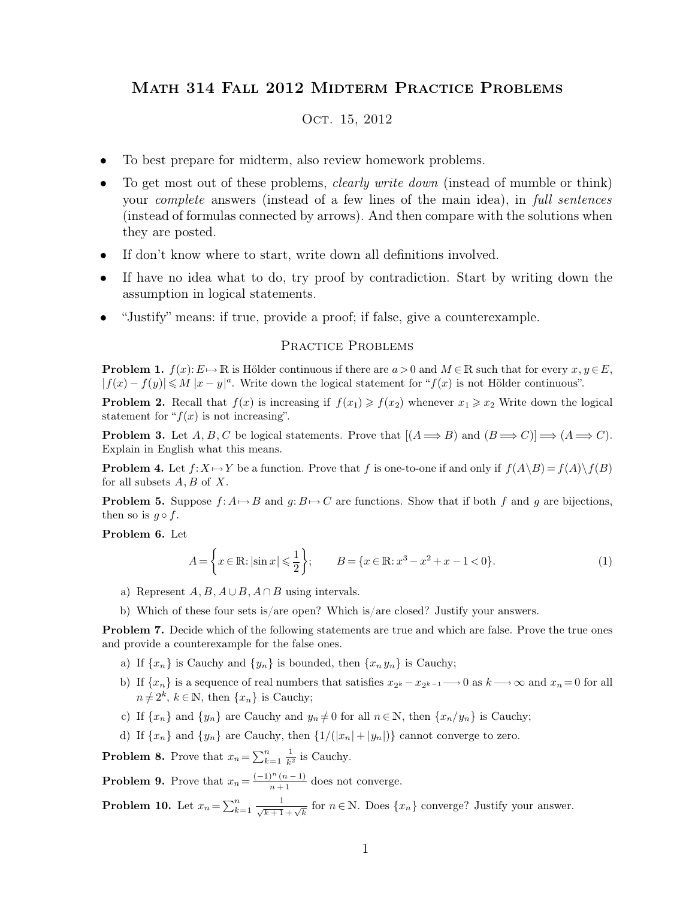## Math 314 Fall 2012 Midterm Practice Problems

## OCT. 15, 2012

- To best prepare for midterm, also review homework problems.
- To get most out of these problems, *clearly write down* (instead of mumble or think) your *complete* answers (instead of a few lines of the main idea), in *full sentences* (instead of formulas connected by arrows). And then compare with the solutions when they are posted.
- If don't know where to start, write down all definitions involved.
- If have no idea what to do, try proof by contradiction. Start by writing down the assumption in logical statements.
- "Justify" means: if true, provide a proof; if false, give a counterexample.

## PRACTICE PROBLEMS

**Problem 1.**  $f(x): E \to \mathbb{R}$  is Hölder continuous if there are  $a > 0$  and  $M \in \mathbb{R}$  such that for every  $x, y \in E$ ,  $|f(x) - f(y)| \leq M |x - y|^a$ . Write down the logical statement for " $f(x)$  is not Hölder continuous".

**Problem 2.** Recall that  $f(x)$  is increasing if  $f(x_1) \ge f(x_2)$  whenever  $x_1 \ge x_2$  Write down the logical statement for " $f(x)$  is not increasing".

**Problem 3.** Let  $A, B, C$  be logical statements. Prove that  $[(A \Longrightarrow B)$  and  $(B \Longrightarrow C)] \Longrightarrow (A \Longrightarrow C)$ . Explain in English what this means.

**Problem 4.** Let  $f: X \mapsto Y$  be a function. Prove that f is one-to-one if and only if  $f(A \setminus B) = f(A) \setminus f(B)$ for all subsets  $A, B$  of  $X$ .

**Problem 5.** Suppose  $f: A \rightarrow B$  and  $g: B \rightarrow C$  are functions. Show that if both f and g are bijections, then so is  $q \circ f$ .

**Problem 6.** Let

$$
A = \left\{ x \in \mathbb{R} : |\sin x| \leqslant \frac{1}{2} \right\}; \qquad B = \left\{ x \in \mathbb{R} : x^3 - x^2 + x - 1 < 0 \right\}. \tag{1}
$$

- a) Represent  $A, B, A \cup B, A \cap B$  using intervals.
- b) Which of these four sets is/are open? Which is/are closed? Justify your answers.

**Problem 7.** Decide which of the following statements are true and which are false. Prove the true ones and provide a counterexample for the false ones.

- a) If  $\{x_n\}$  is Cauchy and  $\{y_n\}$  is bounded, then  $\{x_n y_n\}$  is Cauchy;
- b) If  $\{x_n\}$  is a sequence of real numbers that satisfies  $x_{2^k} x_{2^{k-1}} \longrightarrow 0$  as  $k \longrightarrow \infty$  and  $x_n = 0$  for all  $n \neq 2^k$ ,  $k \in \mathbb{N}$ , then  $\{x_n\}$  is Cauchy;
- c) If  $\{x_n\}$  and  $\{y_n\}$  are Cauchy and  $y_n \neq 0$  for all  $n \in \mathbb{N}$ , then  $\{x_n/y_n\}$  is Cauchy;
- d) If  $\{x_n\}$  and  $\{y_n\}$  are Cauchy, then  $\{1/(|x_n|+|y_n|)\}$  cannot converge to zero.

**Problem 8.** Prove that  $x_n = \sum_{k=1}^n$  $n \qquad 1$  $\frac{1}{k^2}$  is Cauchy.

**Problem 9.** Prove that  $x_n = \frac{(-1)^n (n-1)}{n+1}$  does not converge.

**Problem 10.** Let  $x_n = \sum_{k=1}^n$  $\frac{n}{k+1}$   $\frac{1}{\sqrt{k+1}+\sqrt{k}}$  for  $n \in \mathbb{N}$ . Does  $\{x_n\}$  converge? Justify your answer.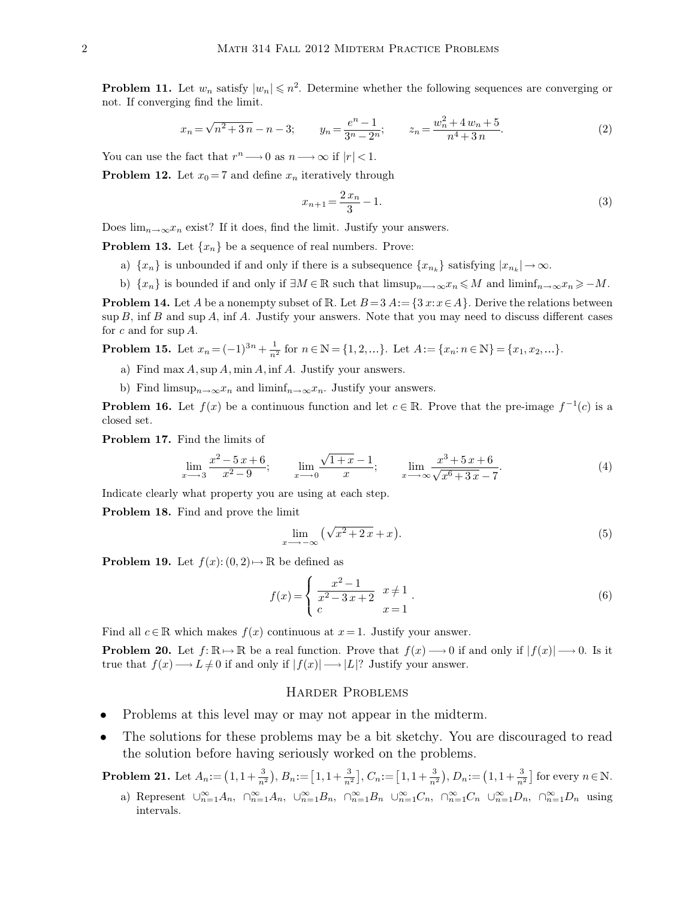**Problem 11.** Let  $w_n$  satisfy  $|w_n| \leq n^2$ . Determine whether the following sequences are converging or not. If converging find the limit.

$$
x_n = \sqrt{n^2 + 3n} - n - 3; \qquad y_n = \frac{e^n - 1}{3^n - 2^n}; \qquad z_n = \frac{w_n^2 + 4w_n + 5}{n^4 + 3n}.
$$
 (2)

You can use the fact that  $r^n \longrightarrow 0$  as  $n \longrightarrow \infty$  if  $|r| < 1$ .

**Problem 12.** Let  $x_0 = 7$  and define  $x_n$  iteratively through

$$
x_{n+1} = \frac{2x_n}{3} - 1.\tag{3}
$$

Does  $\lim_{n\to\infty}x_n$  exist? If it does, find the limit. Justify your answers.

**Problem 13.** Let  $\{x_n\}$  be a sequence of real numbers. Prove:

- a)  $\{x_n\}$  is unbounded if and only if there is a subsequence  $\{x_{n_k}\}$  satisfying  $|x_{n_k}| \to \infty$ .
- b)  $\{x_n\}$  is bounded if and only if  $\exists M \in \mathbb{R}$  such that  $\limsup_{n \to \infty} x_n \leq M$  and  $\liminf_{n \to \infty} x_n \geq -M$ .

**Problem 14.** Let A be a nonempty subset of R. Let  $B = 3$  A:  $= \{3 \cdot x : x \in A\}$ . Derive the relations between  $\sup B$ , inf B and  $\sup A$ , inf A. Justify your answers. Note that you may need to discuss different cases for  $c$  and for sup  $A$ .

**Problem 15.** Let  $x_n = (-1)^{3n} + \frac{1}{n^2}$  $\frac{1}{n^2}$  for  $n \in \mathbb{N} = \{1, 2, ...\}$ . Let  $A := \{x_n : n \in \mathbb{N}\} = \{x_1, x_2, ...\}$ .

- a) Find max  $A$ , sup  $A$ , min  $A$ , inf  $A$ . Justify your answers.
- b) Find limsup $_{n\to\infty}x_n$  and liminf $_{n\to\infty}x_n$ . Justify your answers.

**Problem 16.** Let  $f(x)$  be a continuous function and let  $c \in \mathbb{R}$ . Prove that the pre-image  $f^{-1}(c)$  is a closed set.

**Problem 17.** Find the limits of

$$
\lim_{x \to 3} \frac{x^2 - 5x + 6}{x^2 - 9}; \qquad \lim_{x \to 0} \frac{\sqrt{1 + x} - 1}{x}; \qquad \lim_{x \to \infty} \frac{x^3 + 5x + 6}{\sqrt{x^6 + 3x} - 7}.
$$
 (4)

Indicate clearly what property you are using at each step.

**Problem 18.** Find and prove the limit

$$
\lim_{x \to -\infty} \left( \sqrt{x^2 + 2x} + x \right). \tag{5}
$$

**Problem 19.** Let  $f(x): (0, 2) \mapsto \mathbb{R}$  be defined as

$$
f(x) = \begin{cases} \frac{x^2 - 1}{x^2 - 3x + 2} & x \neq 1 \\ c & x = 1 \end{cases}.
$$
 (6)

Find all  $c \in \mathbb{R}$  which makes  $f(x)$  continuous at  $x = 1$ . Justify your answer.

**Problem 20.** Let  $f: \mathbb{R} \to \mathbb{R}$  be a real function. Prove that  $f(x) \to 0$  if and only if  $|f(x)| \to 0$ . Is it true that  $f(x) \longrightarrow L \neq 0$  if and only if  $|f(x)| \longrightarrow |L|$ ? Justify your answer.

## Harder Problems

- Problems at this level may or may not appear in the midterm.
- The solutions for these problems may be a bit sketchy. You are discouraged to read the solution before having seriously worked on the problems.

**Problem 21.** Let  $A_n := (1, 1+\frac{3}{n^2}), B_n := [1, 1+\frac{3}{n^2}], C_n := [1, 1+\frac{3}{n^2}), D_n := (1, 1+\frac{3}{n^2})$  for every  $n \in \mathbb{N}$ .

a) Represent  $\cup_{n=1}^{\infty} A_n$ ,  $\cap_{n=1}^{\infty} A_n$ ,  $\cup_{n=1}^{\infty} B_n$ ,  $\cap_{n=1}^{\infty} B_n$   $\cup_{n=1}^{\infty} C_n$ ,  $\cap_{n=1}^{\infty} D_n$ ,  $\cap_{n=1}^{\infty} D_n$  using intervals.